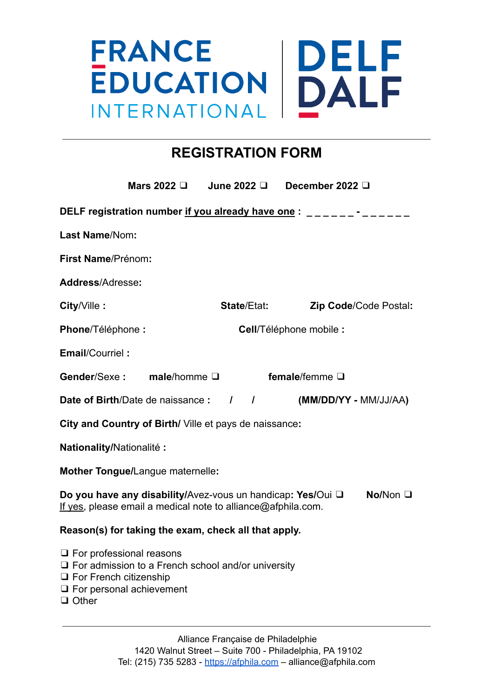## **DELF**<br>DALF **FRANCE EDUCATION** INTERNATIONAL

### **REGISTRATION FORM**

|                                                                                                                                                                                  | Mars 2022 <b>□</b>                | June 2022 $\Box$                                                                 | December 2022 D         |                       |  |
|----------------------------------------------------------------------------------------------------------------------------------------------------------------------------------|-----------------------------------|----------------------------------------------------------------------------------|-------------------------|-----------------------|--|
|                                                                                                                                                                                  |                                   | DELF registration number if you already have one: _______-______________________ |                         |                       |  |
| Last Name/Nom:                                                                                                                                                                   |                                   |                                                                                  |                         |                       |  |
| First Name/Prénom:                                                                                                                                                               |                                   |                                                                                  |                         |                       |  |
| Address/Adresse:                                                                                                                                                                 |                                   |                                                                                  |                         |                       |  |
| City/Ville:                                                                                                                                                                      |                                   | <b>State/Etat:</b>                                                               |                         | Zip Code/Code Postal: |  |
| Phone/Téléphone:                                                                                                                                                                 |                                   |                                                                                  | Cell/Téléphone mobile : |                       |  |
| <b>Email/Courriel:</b>                                                                                                                                                           |                                   |                                                                                  |                         |                       |  |
|                                                                                                                                                                                  | Gender/Sexe: male/homme $\square$ |                                                                                  | female/femme $\square$  |                       |  |
|                                                                                                                                                                                  |                                   | <b>Date of Birth/Date de naissance : / / /</b>                                   | (MM/DD/YY - MM/JJ/AA)   |                       |  |
| City and Country of Birth/ Ville et pays de naissance:                                                                                                                           |                                   |                                                                                  |                         |                       |  |
| Nationality/Nationalité :                                                                                                                                                        |                                   |                                                                                  |                         |                       |  |
|                                                                                                                                                                                  | Mother Tongue/Langue maternelle:  |                                                                                  |                         |                       |  |
| Do you have any disability/Avez-vous un handicap: Yes/Oui Q<br>No/Non $\Box$<br>If yes, please email a medical note to alliance@afphila.com.                                     |                                   |                                                                                  |                         |                       |  |
| Reason(s) for taking the exam, check all that apply.                                                                                                                             |                                   |                                                                                  |                         |                       |  |
| $\Box$ For professional reasons<br>$\Box$ For admission to a French school and/or university<br>$\Box$ For French citizenship<br>$\Box$ For personal achievement<br>$\Box$ Other |                                   |                                                                                  |                         |                       |  |